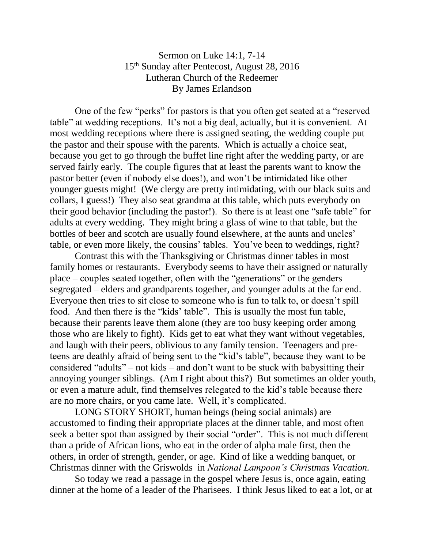## Sermon on Luke 14:1, 7-14 15th Sunday after Pentecost, August 28, 2016 Lutheran Church of the Redeemer By James Erlandson

One of the few "perks" for pastors is that you often get seated at a "reserved table" at wedding receptions. It's not a big deal, actually, but it is convenient. At most wedding receptions where there is assigned seating, the wedding couple put the pastor and their spouse with the parents. Which is actually a choice seat, because you get to go through the buffet line right after the wedding party, or are served fairly early. The couple figures that at least the parents want to know the pastor better (even if nobody else does!), and won't be intimidated like other younger guests might! (We clergy are pretty intimidating, with our black suits and collars, I guess!) They also seat grandma at this table, which puts everybody on their good behavior (including the pastor!). So there is at least one "safe table" for adults at every wedding. They might bring a glass of wine to that table, but the bottles of beer and scotch are usually found elsewhere, at the aunts and uncles' table, or even more likely, the cousins' tables. You've been to weddings, right?

Contrast this with the Thanksgiving or Christmas dinner tables in most family homes or restaurants. Everybody seems to have their assigned or naturally place – couples seated together, often with the "generations" or the genders segregated – elders and grandparents together, and younger adults at the far end. Everyone then tries to sit close to someone who is fun to talk to, or doesn't spill food. And then there is the "kids' table". This is usually the most fun table, because their parents leave them alone (they are too busy keeping order among those who are likely to fight). Kids get to eat what they want without vegetables, and laugh with their peers, oblivious to any family tension. Teenagers and preteens are deathly afraid of being sent to the "kid's table", because they want to be considered "adults" – not kids – and don't want to be stuck with babysitting their annoying younger siblings. (Am I right about this?) But sometimes an older youth, or even a mature adult, find themselves relegated to the kid's table because there are no more chairs, or you came late. Well, it's complicated.

LONG STORY SHORT, human beings (being social animals) are accustomed to finding their appropriate places at the dinner table, and most often seek a better spot than assigned by their social "order". This is not much different than a pride of African lions, who eat in the order of alpha male first, then the others, in order of strength, gender, or age. Kind of like a wedding banquet, or Christmas dinner with the Griswolds in *National Lampoon's Christmas Vacation.*

So today we read a passage in the gospel where Jesus is, once again, eating dinner at the home of a leader of the Pharisees. I think Jesus liked to eat a lot, or at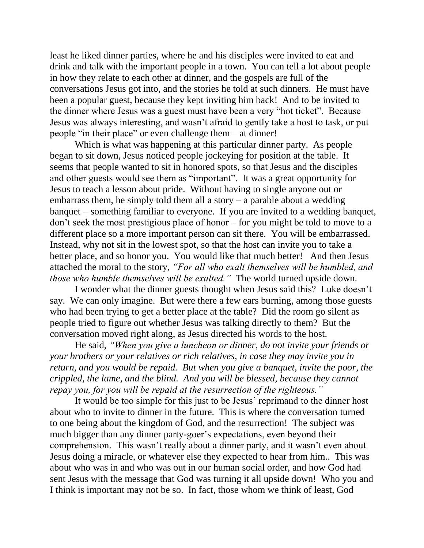least he liked dinner parties, where he and his disciples were invited to eat and drink and talk with the important people in a town. You can tell a lot about people in how they relate to each other at dinner, and the gospels are full of the conversations Jesus got into, and the stories he told at such dinners. He must have been a popular guest, because they kept inviting him back! And to be invited to the dinner where Jesus was a guest must have been a very "hot ticket". Because Jesus was always interesting, and wasn't afraid to gently take a host to task, or put people "in their place" or even challenge them – at dinner!

Which is what was happening at this particular dinner party. As people began to sit down, Jesus noticed people jockeying for position at the table. It seems that people wanted to sit in honored spots, so that Jesus and the disciples and other guests would see them as "important". It was a great opportunity for Jesus to teach a lesson about pride. Without having to single anyone out or embarrass them, he simply told them all a story – a parable about a wedding banquet – something familiar to everyone. If you are invited to a wedding banquet, don't seek the most prestigious place of honor – for you might be told to move to a different place so a more important person can sit there. You will be embarrassed. Instead, why not sit in the lowest spot, so that the host can invite you to take a better place, and so honor you. You would like that much better! And then Jesus attached the moral to the story, *"For all who exalt themselves will be humbled, and those who humble themselves will be exalted."* The world turned upside down.

I wonder what the dinner guests thought when Jesus said this? Luke doesn't say. We can only imagine. But were there a few ears burning, among those guests who had been trying to get a better place at the table? Did the room go silent as people tried to figure out whether Jesus was talking directly to them? But the conversation moved right along, as Jesus directed his words to the host.

He said, *"When you give a luncheon or dinner, do not invite your friends or your brothers or your relatives or rich relatives, in case they may invite you in return, and you would be repaid. But when you give a banquet, invite the poor, the crippled, the lame, and the blind. And you will be blessed, because they cannot repay you, for you will be repaid at the resurrection of the righteous."*

It would be too simple for this just to be Jesus' reprimand to the dinner host about who to invite to dinner in the future. This is where the conversation turned to one being about the kingdom of God, and the resurrection! The subject was much bigger than any dinner party-goer's expectations, even beyond their comprehension. This wasn't really about a dinner party, and it wasn't even about Jesus doing a miracle, or whatever else they expected to hear from him.. This was about who was in and who was out in our human social order, and how God had sent Jesus with the message that God was turning it all upside down! Who you and I think is important may not be so. In fact, those whom we think of least, God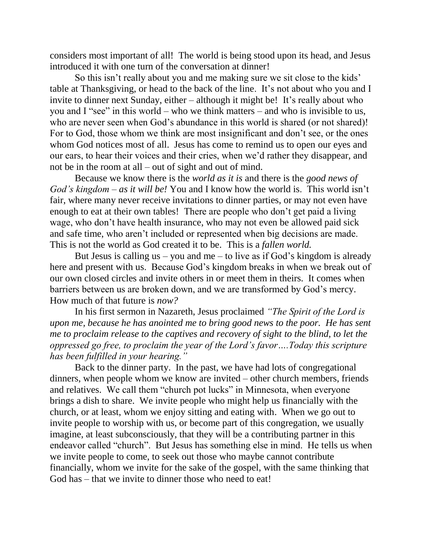considers most important of all! The world is being stood upon its head, and Jesus introduced it with one turn of the conversation at dinner!

So this isn't really about you and me making sure we sit close to the kids' table at Thanksgiving, or head to the back of the line. It's not about who you and I invite to dinner next Sunday, either – although it might be! It's really about who you and I "see" in this world – who we think matters – and who is invisible to us, who are never seen when God's abundance in this world is shared (or not shared)! For to God, those whom we think are most insignificant and don't see, or the ones whom God notices most of all. Jesus has come to remind us to open our eyes and our ears, to hear their voices and their cries, when we'd rather they disappear, and not be in the room at all – out of sight and out of mind.

Because we know there is the *world as it is* and there is the *good news of God's kingdom* – *as it will be!* You and I know how the world is. This world isn't fair, where many never receive invitations to dinner parties, or may not even have enough to eat at their own tables! There are people who don't get paid a living wage, who don't have health insurance, who may not even be allowed paid sick and safe time, who aren't included or represented when big decisions are made. This is not the world as God created it to be. This is a *fallen world.*

But Jesus is calling us – you and me – to live as if God's kingdom is already here and present with us. Because God's kingdom breaks in when we break out of our own closed circles and invite others in or meet them in theirs. It comes when barriers between us are broken down, and we are transformed by God's mercy. How much of that future is *now?*

In his first sermon in Nazareth, Jesus proclaimed *"The Spirit of the Lord is upon me, because he has anointed me to bring good news to the poor. He has sent me to proclaim release to the captives and recovery of sight to the blind, to let the oppressed go free, to proclaim the year of the Lord's favor….Today this scripture has been fulfilled in your hearing."*

Back to the dinner party. In the past, we have had lots of congregational dinners, when people whom we know are invited – other church members, friends and relatives. We call them "church pot lucks" in Minnesota, when everyone brings a dish to share. We invite people who might help us financially with the church, or at least, whom we enjoy sitting and eating with. When we go out to invite people to worship with us, or become part of this congregation, we usually imagine, at least subconsciously, that they will be a contributing partner in this endeavor called "church". But Jesus has something else in mind. He tells us when we invite people to come, to seek out those who maybe cannot contribute financially, whom we invite for the sake of the gospel, with the same thinking that God has – that we invite to dinner those who need to eat!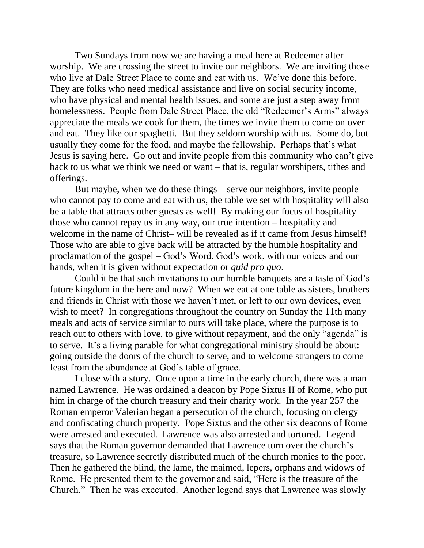Two Sundays from now we are having a meal here at Redeemer after worship. We are crossing the street to invite our neighbors. We are inviting those who live at Dale Street Place to come and eat with us. We've done this before. They are folks who need medical assistance and live on social security income, who have physical and mental health issues, and some are just a step away from homelessness. People from Dale Street Place, the old "Redeemer's Arms" always appreciate the meals we cook for them, the times we invite them to come on over and eat. They like our spaghetti. But they seldom worship with us. Some do, but usually they come for the food, and maybe the fellowship. Perhaps that's what Jesus is saying here. Go out and invite people from this community who can't give back to us what we think we need or want – that is, regular worshipers, tithes and offerings.

But maybe, when we do these things – serve our neighbors, invite people who cannot pay to come and eat with us, the table we set with hospitality will also be a table that attracts other guests as well! By making our focus of hospitality those who cannot repay us in any way, our true intention – hospitality and welcome in the name of Christ– will be revealed as if it came from Jesus himself! Those who are able to give back will be attracted by the humble hospitality and proclamation of the gospel – God's Word, God's work, with our voices and our hands, when it is given without expectation or *quid pro quo*.

Could it be that such invitations to our humble banquets are a taste of God's future kingdom in the here and now? When we eat at one table as sisters, brothers and friends in Christ with those we haven't met, or left to our own devices, even wish to meet? In congregations throughout the country on Sunday the 11th many meals and acts of service similar to ours will take place, where the purpose is to reach out to others with love, to give without repayment, and the only "agenda" is to serve. It's a living parable for what congregational ministry should be about: going outside the doors of the church to serve, and to welcome strangers to come feast from the abundance at God's table of grace.

I close with a story. Once upon a time in the early church, there was a man named Lawrence. He was ordained a deacon by Pope Sixtus II of Rome, who put him in charge of the church treasury and their charity work. In the year 257 the Roman emperor Valerian began a persecution of the church, focusing on clergy and confiscating church property. Pope Sixtus and the other six deacons of Rome were arrested and executed. Lawrence was also arrested and tortured. Legend says that the Roman governor demanded that Lawrence turn over the church's treasure, so Lawrence secretly distributed much of the church monies to the poor. Then he gathered the blind, the lame, the maimed, lepers, orphans and widows of Rome. He presented them to the governor and said, "Here is the treasure of the Church." Then he was executed. Another legend says that Lawrence was slowly